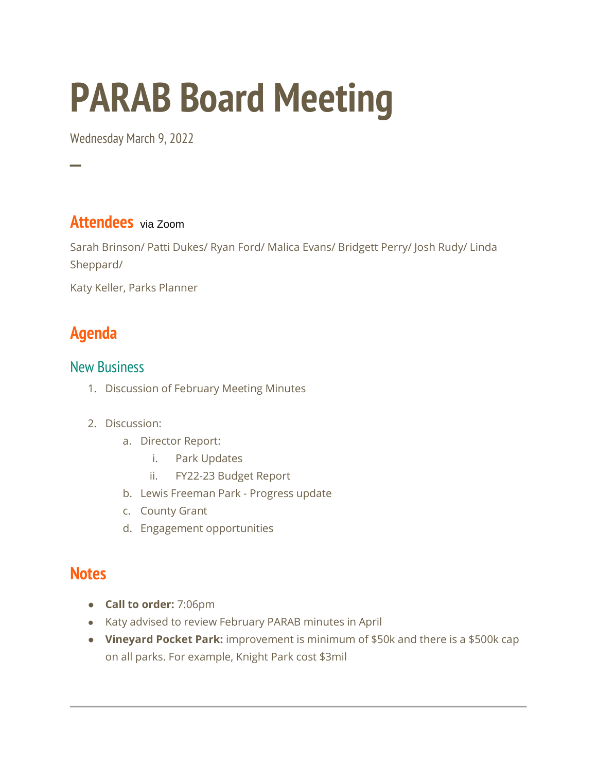# **PARAB Board Meeting**

Wednesday March 9, 2022

## **Attendees** via Zoom

Sarah Brinson/ Patti Dukes/ Ryan Ford/ Malica Evans/ Bridgett Perry/ Josh Rudy/ Linda Sheppard/

Katy Keller, Parks Planner

# **Agenda**

─

#### New Business

- 1. Discussion of February Meeting Minutes
- 2. Discussion:
	- a. Director Report:
		- i. Park Updates
		- ii. FY22-23 Budget Report
	- b. Lewis Freeman Park Progress update
	- c. County Grant
	- d. Engagement opportunities

## **Notes**

- **Call to order:** 7:06pm
- Katy advised to review February PARAB minutes in April
- **Vineyard Pocket Park:** improvement is minimum of \$50k and there is a \$500k cap on all parks. For example, Knight Park cost \$3mil